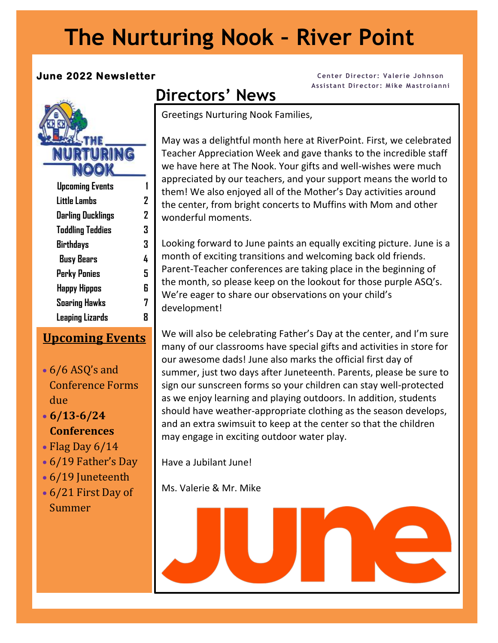# **The Nurturing Nook – River Point**

#### **June 2022 Newsletter**



| <b>Upcoming Events</b>  |   |
|-------------------------|---|
| Little Lambs            | 2 |
| Darling Ducklings       | 2 |
| <b>Toddling Teddies</b> | 3 |
| <b>Birthdays</b>        | 3 |
| <b>Busy Bears</b>       | 4 |
| Perky Ponies            | 5 |
| <b>Happy Hippos</b>     | 6 |
| <b>Soaring Hawks</b>    | 7 |
| Leaping Lizards         |   |
|                         |   |

#### **Upcoming Events**

• 6/6 ASQ's and Conference Forms due

#### • **6/13-6/24 Conferences**

I

- Flag Day  $6/14$
- 6/19 Father's Day
- 6/19 Juneteenth
- 6/21 First Day of Summer

#### **Center Director: Valerie Johnson Assistant Director: Mike Mastroianni**

## **Directors' News**

Greetings Nurturing Nook Families,

May was a delightful month here at RiverPoint. First, we celebrated Teacher Appreciation Week and gave thanks to the incredible staff we have here at The Nook. Your gifts and well-wishes were much appreciated by our teachers, and your support means the world to them! We also enjoyed all of the Mother's Day activities around the center, from bright concerts to Muffins with Mom and other wonderful moments.

Looking forward to June paints an equally exciting picture. June is a month of exciting transitions and welcoming back old friends. Parent-Teacher conferences are taking place in the beginning of the month, so please keep on the lookout for those purple ASQ's. We're eager to share our observations on your child's development!

We will also be celebrating Father's Day at the center, and I'm sure many of our classrooms have special gifts and activities in store for our awesome dads! June also marks the official first day of summer, just two days after Juneteenth. Parents, please be sure to sign our sunscreen forms so your children can stay well-protected as we enjoy learning and playing outdoors. In addition, students should have weather-appropriate clothing as the season develops, and an extra swimsuit to keep at the center so that the children may engage in exciting outdoor water play.

Have a Jubilant June!

Ms. Valerie & Mr. Mike

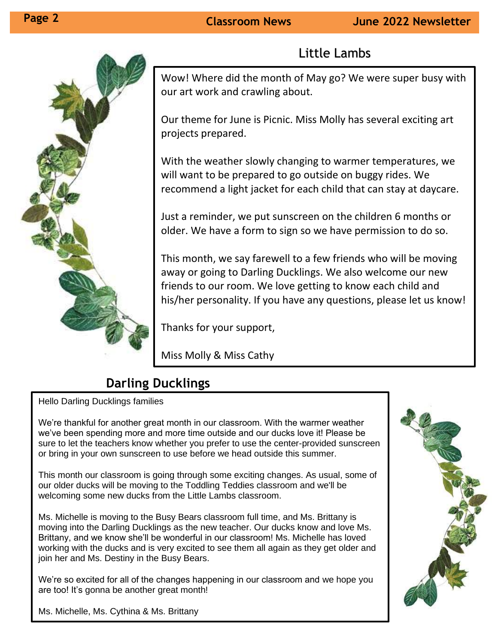

## Little Lambs

Wow! Where did the month of May go? We were super busy with our art work and crawling about.

Our theme for June is Picnic. Miss Molly has several exciting art projects prepared.

With the weather slowly changing to warmer temperatures, we will want to be prepared to go outside on buggy rides. We recommend a light jacket for each child that can stay at daycare.

Just a reminder, we put sunscreen on the children 6 months or older. We have a form to sign so we have permission to do so.

This month, we say farewell to a few friends who will be moving away or going to Darling Ducklings. We also welcome our new friends to our room. We love getting to know each child and his/her personality. If you have any questions, please let us know!

Thanks for your support,

Miss Molly & Miss Cathy

## **Darling Ducklings**

Hello Darling Ducklings families

We're thankful for another great month in our classroom. With the warmer weather we've been spending more and more time outside and our ducks love it! Please be sure to let the teachers know whether you prefer to use the center-provided sunscreen or bring in your own sunscreen to use before we head outside this summer.

This month our classroom is going through some exciting changes. As usual, some of our older ducks will be moving to the Toddling Teddies classroom and we'll be welcoming some new ducks from the Little Lambs classroom.

Ms. Michelle is moving to the Busy Bears classroom full time, and Ms. Brittany is moving into the Darling Ducklings as the new teacher. Our ducks know and love Ms. Brittany, and we know she'll be wonderful in our classroom! Ms. Michelle has loved working with the ducks and is very excited to see them all again as they get older and join her and Ms. Destiny in the Busy Bears.

We're so excited for all of the changes happening in our classroom and we hope you are too! It's gonna be another great month!



Ms. Michelle, Ms. Cythina & Ms. Brittany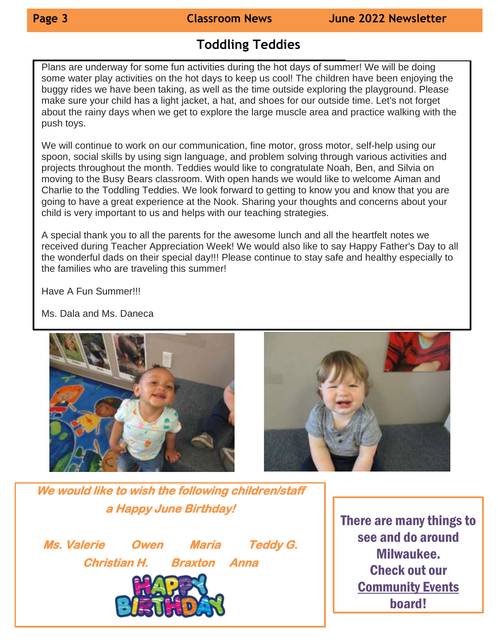### **Toddling Teddies**

Plans are underway for some fun activities during the hot days of summer! We will be doing some water play activities on the hot days to keep us cool! The children have been enjoying the buggy rides we have been taking, as well as the time outside exploring the playground. Please make sure your child has a light jacket, a hat, and shoes for our outside time. Let's not forget about the rainy days when we get to explore the large muscle area and practice walking with the push toys.

We will continue to work on our communication, fine motor, gross motor, self-help using our spoon, social skills by using sign language, and problem solving through various activities and projects throughout the month. Teddies would like to congratulate Noah, Ben, and Silvia on moving to the Busy Bears classroom. With open hands we would like to welcome Aiman and Charlie to the Toddling Teddies. We look forward to getting to know you and know that you are going to have a great experience at the Nook. Sharing your thoughts and concerns about your child is very important to us and helps with our teaching strategies.

A special thank you to all the parents for the awesome lunch and all the heartfelt notes we received during Teacher Appreciation Week! We would also like to say Happy Father's Day to all the wonderful dads on their special day!!! Please continue to stay safe and healthy especially to the families who are traveling this summer!

Have A Fun Summer!!!

Ms. Dala and Ms. Daneca





**We would like to wish the following children/staff a Happy June Birthday!** 

**Ms. Valerie Owen Maria Teddy G. Christian H. Braxton Anna** 



There are many things to see and do around Milwaukee. Check out our Community Events board!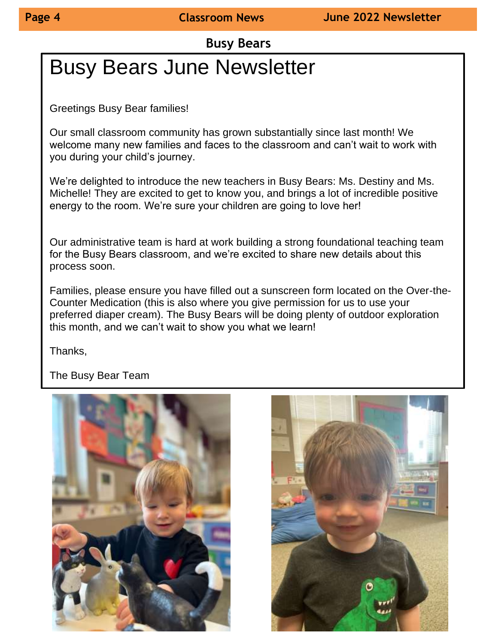**Busy Bears**

# Busy Bears June Newsletter

 $\overline{a}$ Greetings Busy Bear families!

Our small classroom community has grown substantially since last month! We welcome many new families and faces to the classroom and can't wait to work with you during your child's journey.

We're delighted to introduce the new teachers in Busy Bears: Ms. Destiny and Ms. Michelle! They are excited to get to know you, and brings a lot of incredible positive energy to the room. We're sure your children are going to love her!

Our administrative team is hard at work building a strong foundational teaching team for the Busy Bears classroom, and we're excited to share new details about this process soon.

Families, please ensure you have filled out a sunscreen form located on the Over-the-Counter Medication (this is also where you give permission for us to use your preferred diaper cream). The Busy Bears will be doing plenty of outdoor exploration this month, and we can't wait to show you what we learn!

Thanks,

The Busy Bear Team



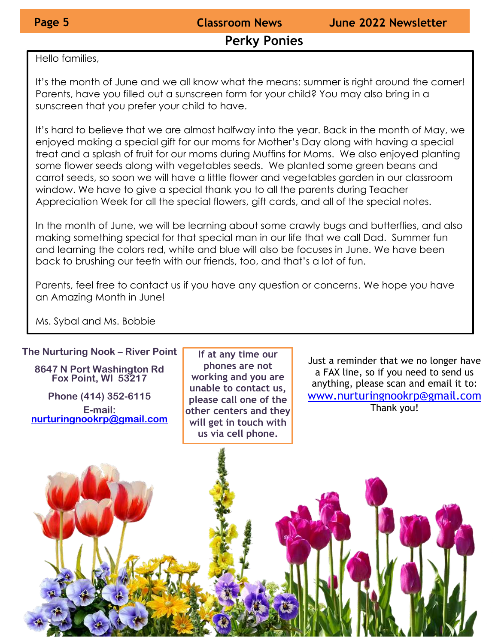#### **Perky Ponies**

Hello families,

It's the month of June and we all know what the means: summer is right around the corner! Parents, have you filled out a sunscreen form for your child? You may also bring in a sunscreen that you prefer your child to have.

It's hard to believe that we are almost halfway into the year. Back in the month of May, we enjoyed making a special gift for our moms for Mother's Day along with having a special treat and a splash of fruit for our moms during Muffins for Moms. We also enjoyed planting some flower seeds along with vegetables seeds. We planted some green beans and carrot seeds, so soon we will have a little flower and vegetables garden in our classroom window. We have to give a special thank you to all the parents during Teacher Appreciation Week for all the special flowers, gift cards, and all of the special notes.

In the month of June, we will be learning about some crawly bugs and butterflies, and also making something special for that special man in our life that we call Dad. Summer fun and learning the colors red, white and blue will also be focuses in June. We have been back to brushing our teeth with our friends, too, and that's a lot of fun.

Parents, feel free to contact us if you have any question or concerns. We hope you have an Amazing Month in June!

Ms. Sybal and Ms. Bobbie

#### **The Nurturing Nook – River Point**

**8647 N Port Washington Rd Fox Point, WI 53217**

**Phone (414) 352-6115 E-mail: [nurturingnookrp@gmail.com](mailto:nurturingnookrp@gmail.com)**

**If at any time our phones are not working and you are unable to contact us, please call one of the other centers and they will get in touch with us via cell phone.**

Just a reminder that we no longer have a FAX line, so if you need to send us anything, please scan and email it to: [www.nurturingnookrp@gmail.com](http://www.nurturingnookrp@gmail.com) Thank you!

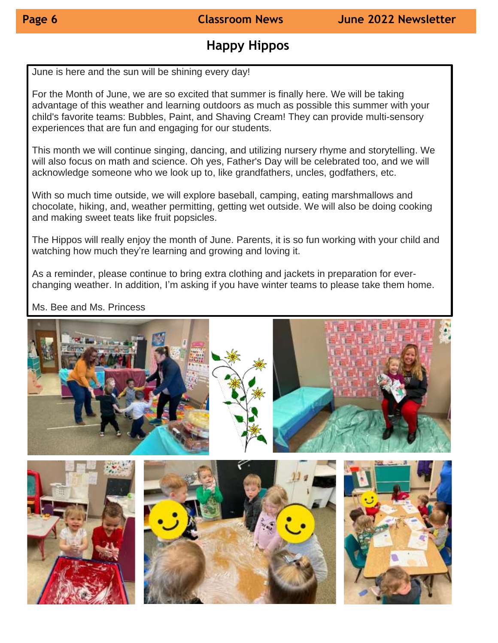## **Happy Hippos**

June is here and the sun will be shining every day!

For the Month of June, we are so excited that summer is finally here. We will be taking advantage of this weather and learning outdoors as much as possible this summer with your child's favorite teams: Bubbles, Paint, and Shaving Cream! They can provide multi-sensory experiences that are fun and engaging for our students.

This month we will continue singing, dancing, and utilizing nursery rhyme and storytelling. We will also focus on math and science. Oh yes, Father's Day will be celebrated too, and we will acknowledge someone who we look up to, like grandfathers, uncles, godfathers, etc.

With so much time outside, we will explore baseball, camping, eating marshmallows and chocolate, hiking, and, weather permitting, getting wet outside. We will also be doing cooking and making sweet teats like fruit popsicles.

The Hippos will really enjoy the month of June. Parents, it is so fun working with your child and watching how much they're learning and growing and loving it.

As a reminder, please continue to bring extra clothing and jackets in preparation for everchanging weather. In addition, I'm asking if you have winter teams to please take them home.

#### Ms. Bee and Ms. Princess

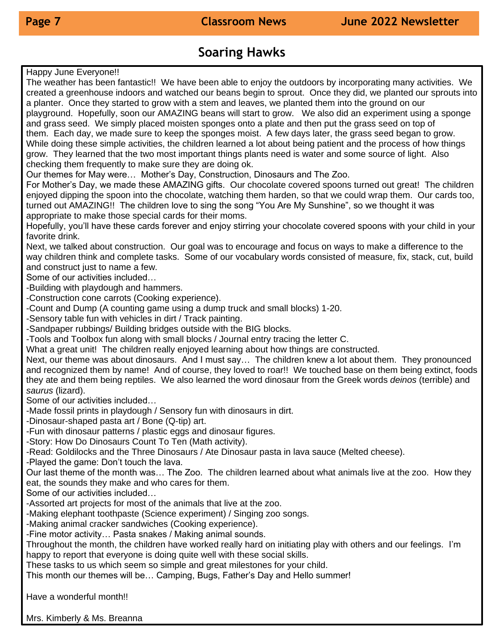#### **Soaring Hawks**

Happy June Everyone!!

The weather has been fantastic!! We have been able to enjoy the outdoors by incorporating many activities. We created a greenhouse indoors and watched our beans begin to sprout. Once they did, we planted our sprouts into a planter. Once they started to grow with a stem and leaves, we planted them into the ground on our playground. Hopefully, soon our AMAZING beans will start to grow. We also did an experiment using a sponge and grass seed. We simply placed moisten sponges onto a plate and then put the grass seed on top of them. Each day, we made sure to keep the sponges moist. A few days later, the grass seed began to grow. While doing these simple activities, the children learned a lot about being patient and the process of how things grow. They learned that the two most important things plants need is water and some source of light. Also checking them frequently to make sure they are doing ok.

Our themes for May were… Mother's Day, Construction, Dinosaurs and The Zoo.

For Mother's Day, we made these AMAZING gifts. Our chocolate covered spoons turned out great! The children enjoyed dipping the spoon into the chocolate, watching them harden, so that we could wrap them. Our cards too, turned out AMAZING!! The children love to sing the song "You Are My Sunshine", so we thought it was appropriate to make those special cards for their moms.

Hopefully, you'll have these cards forever and enjoy stirring your chocolate covered spoons with your child in your favorite drink.

Next, we talked about construction. Our goal was to encourage and focus on ways to make a difference to the way children think and complete tasks. Some of our vocabulary words consisted of measure, fix, stack, cut, build and construct just to name a few.

Some of our activities included…

• -Building with playdough and hammers.

• -Construction cone carrots (Cooking experience).

• -Count and Dump (A counting game using a dump truck and small blocks) 1-20.

• -Sensory table fun with vehicles in dirt / Track painting.

• -Sandpaper rubbings/ Building bridges outside with the BIG blocks.

• -Tools and Toolbox fun along with small blocks / Journal entry tracing the letter C.

What a great unit! The children really enjoyed learning about how things are constructed.

Next, our theme was about dinosaurs. And I must say… The children knew a lot about them. They pronounced and recognized them by name! And of course, they loved to roar!! We touched base on them being extinct, foods they ate and them being reptiles. We also learned the word dinosaur from the Greek words *deinos* (terrible) and *saurus* (lizard).

Some of our activities included…

• -Made fossil prints in playdough / Sensory fun with dinosaurs in dirt.

• -Dinosaur-shaped pasta art / Bone (Q-tip) art.

• -Fun with dinosaur patterns / plastic eggs and dinosaur figures.

• -Story: How Do Dinosaurs Count To Ten (Math activity).

• -Read: Goldilocks and the Three Dinosaurs / Ate Dinosaur pasta in lava sauce (Melted cheese).

• -Played the game: Don't touch the lava.

Our last theme of the month was… The Zoo. The children learned about what animals live at the zoo. How they eat, the sounds they make and who cares for them.

Some of our activities included…

• -Assorted art projects for most of the animals that live at the zoo.

• -Making elephant toothpaste (Science experiment) / Singing zoo songs.

• -Making animal cracker sandwiches (Cooking experience).

• -Fine motor activity… Pasta snakes / Making animal sounds.

Throughout the month, the children have worked really hard on initiating play with others and our feelings. I'm happy to report that everyone is doing quite well with these social skills.

These tasks to us which seem so simple and great milestones for your child.

This month our themes will be… Camping, Bugs, Father's Day and Hello summer!

Have a wonderful month!!

Mrs. Kimberly & Ms. Breanna